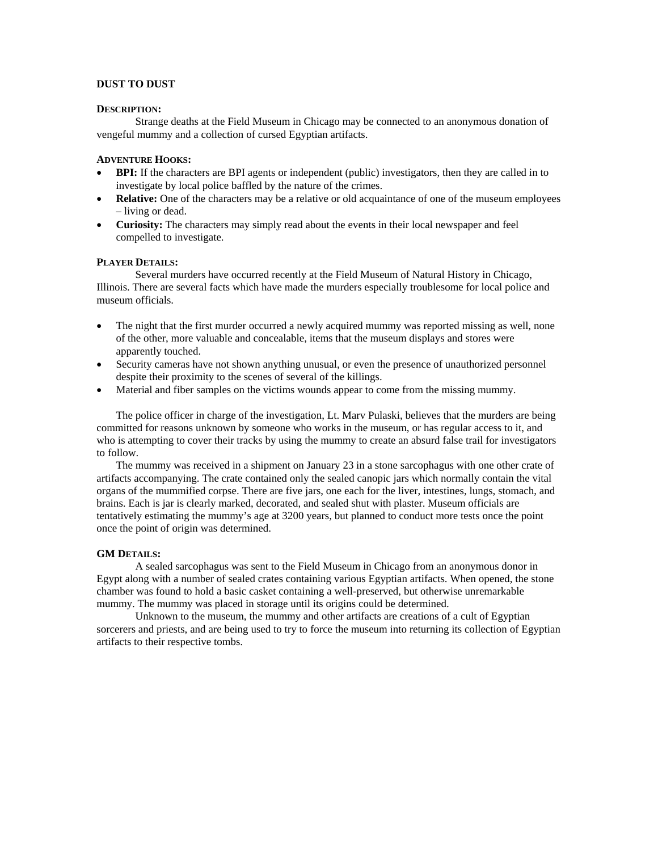# **DUST TO DUST**

#### **DESCRIPTION:**

 Strange deaths at the Field Museum in Chicago may be connected to an anonymous donation of vengeful mummy and a collection of cursed Egyptian artifacts.

# **ADVENTURE HOOKS:**

- **BPI:** If the characters are BPI agents or independent (public) investigators, then they are called in to investigate by local police baffled by the nature of the crimes.
- **Relative:** One of the characters may be a relative or old acquaintance of one of the museum employees – living or dead.
- **Curiosity:** The characters may simply read about the events in their local newspaper and feel compelled to investigate.

# **PLAYER DETAILS:**

Several murders have occurred recently at the Field Museum of Natural History in Chicago, Illinois. There are several facts which have made the murders especially troublesome for local police and museum officials.

- The night that the first murder occurred a newly acquired mummy was reported missing as well, none of the other, more valuable and concealable, items that the museum displays and stores were apparently touched.
- Security cameras have not shown anything unusual, or even the presence of unauthorized personnel despite their proximity to the scenes of several of the killings.
- Material and fiber samples on the victims wounds appear to come from the missing mummy.

The police officer in charge of the investigation, Lt. Marv Pulaski, believes that the murders are being committed for reasons unknown by someone who works in the museum, or has regular access to it, and who is attempting to cover their tracks by using the mummy to create an absurd false trail for investigators to follow.

The mummy was received in a shipment on January 23 in a stone sarcophagus with one other crate of artifacts accompanying. The crate contained only the sealed canopic jars which normally contain the vital organs of the mummified corpse. There are five jars, one each for the liver, intestines, lungs, stomach, and brains. Each is jar is clearly marked, decorated, and sealed shut with plaster. Museum officials are tentatively estimating the mummy's age at 3200 years, but planned to conduct more tests once the point once the point of origin was determined.

## **GM DETAILS:**

A sealed sarcophagus was sent to the Field Museum in Chicago from an anonymous donor in Egypt along with a number of sealed crates containing various Egyptian artifacts. When opened, the stone chamber was found to hold a basic casket containing a well-preserved, but otherwise unremarkable mummy. The mummy was placed in storage until its origins could be determined.

Unknown to the museum, the mummy and other artifacts are creations of a cult of Egyptian sorcerers and priests, and are being used to try to force the museum into returning its collection of Egyptian artifacts to their respective tombs.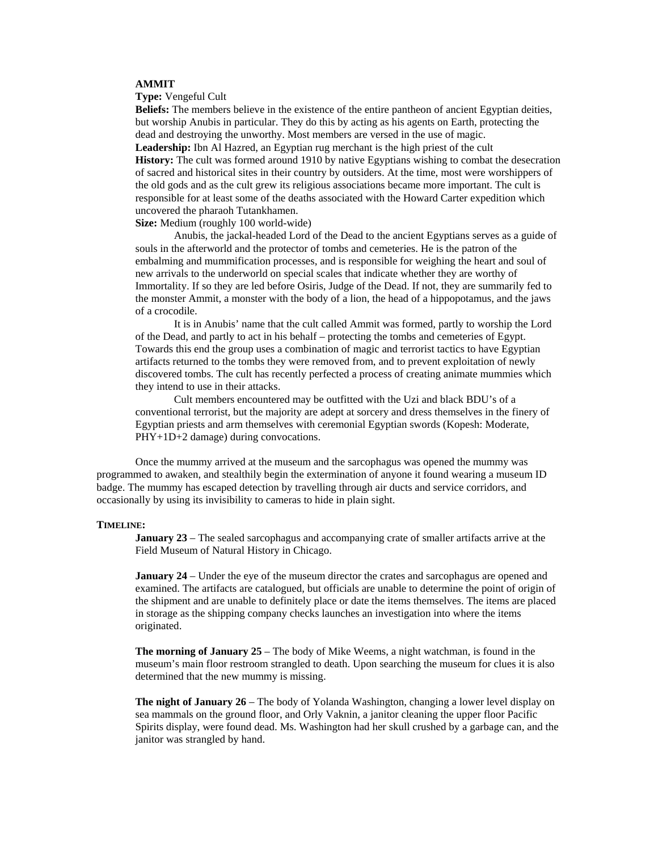# **AMMIT**

#### **Type:** Vengeful Cult

**Beliefs:** The members believe in the existence of the entire pantheon of ancient Egyptian deities, but worship Anubis in particular. They do this by acting as his agents on Earth, protecting the dead and destroying the unworthy. Most members are versed in the use of magic. **Leadership:** Ibn Al Hazred, an Egyptian rug merchant is the high priest of the cult **History:** The cult was formed around 1910 by native Egyptians wishing to combat the desecration of sacred and historical sites in their country by outsiders. At the time, most were worshippers of the old gods and as the cult grew its religious associations became more important. The cult is responsible for at least some of the deaths associated with the Howard Carter expedition which uncovered the pharaoh Tutankhamen.

**Size:** Medium (roughly 100 world-wide)

 Anubis, the jackal-headed Lord of the Dead to the ancient Egyptians serves as a guide of souls in the afterworld and the protector of tombs and cemeteries. He is the patron of the embalming and mummification processes, and is responsible for weighing the heart and soul of new arrivals to the underworld on special scales that indicate whether they are worthy of Immortality. If so they are led before Osiris, Judge of the Dead. If not, they are summarily fed to the monster Ammit, a monster with the body of a lion, the head of a hippopotamus, and the jaws of a crocodile.

 It is in Anubis' name that the cult called Ammit was formed, partly to worship the Lord of the Dead, and partly to act in his behalf – protecting the tombs and cemeteries of Egypt. Towards this end the group uses a combination of magic and terrorist tactics to have Egyptian artifacts returned to the tombs they were removed from, and to prevent exploitation of newly discovered tombs. The cult has recently perfected a process of creating animate mummies which they intend to use in their attacks.

 Cult members encountered may be outfitted with the Uzi and black BDU's of a conventional terrorist, but the majority are adept at sorcery and dress themselves in the finery of Egyptian priests and arm themselves with ceremonial Egyptian swords (Kopesh: Moderate, PHY+1D+2 damage) during convocations.

 Once the mummy arrived at the museum and the sarcophagus was opened the mummy was programmed to awaken, and stealthily begin the extermination of anyone it found wearing a museum ID badge. The mummy has escaped detection by travelling through air ducts and service corridors, and occasionally by using its invisibility to cameras to hide in plain sight.

#### **TIMELINE:**

**January 23** – The sealed sarcophagus and accompanying crate of smaller artifacts arrive at the Field Museum of Natural History in Chicago.

**January 24** – Under the eye of the museum director the crates and sarcophagus are opened and examined. The artifacts are catalogued, but officials are unable to determine the point of origin of the shipment and are unable to definitely place or date the items themselves. The items are placed in storage as the shipping company checks launches an investigation into where the items originated.

**The morning of January 25** – The body of Mike Weems, a night watchman, is found in the museum's main floor restroom strangled to death. Upon searching the museum for clues it is also determined that the new mummy is missing.

**The night of January 26** – The body of Yolanda Washington, changing a lower level display on sea mammals on the ground floor, and Orly Vaknin, a janitor cleaning the upper floor Pacific Spirits display, were found dead. Ms. Washington had her skull crushed by a garbage can, and the janitor was strangled by hand.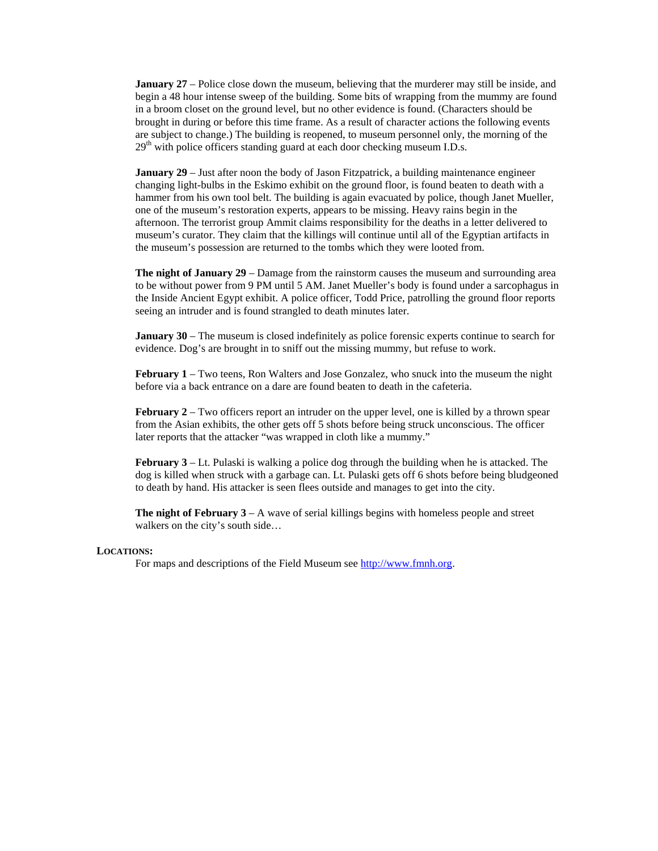**January 27** – Police close down the museum, believing that the murderer may still be inside, and begin a 48 hour intense sweep of the building. Some bits of wrapping from the mummy are found in a broom closet on the ground level, but no other evidence is found. (Characters should be brought in during or before this time frame. As a result of character actions the following events are subject to change.) The building is reopened, to museum personnel only, the morning of the  $29<sup>th</sup>$  with police officers standing guard at each door checking museum I.D.s.

**January 29** – Just after noon the body of Jason Fitzpatrick, a building maintenance engineer changing light-bulbs in the Eskimo exhibit on the ground floor, is found beaten to death with a hammer from his own tool belt. The building is again evacuated by police, though Janet Mueller, one of the museum's restoration experts, appears to be missing. Heavy rains begin in the afternoon. The terrorist group Ammit claims responsibility for the deaths in a letter delivered to museum's curator. They claim that the killings will continue until all of the Egyptian artifacts in the museum's possession are returned to the tombs which they were looted from.

**The night of January 29** – Damage from the rainstorm causes the museum and surrounding area to be without power from 9 PM until 5 AM. Janet Mueller's body is found under a sarcophagus in the Inside Ancient Egypt exhibit. A police officer, Todd Price, patrolling the ground floor reports seeing an intruder and is found strangled to death minutes later.

**January 30** – The museum is closed indefinitely as police forensic experts continue to search for evidence. Dog's are brought in to sniff out the missing mummy, but refuse to work.

**February 1** – Two teens, Ron Walters and Jose Gonzalez, who snuck into the museum the night before via a back entrance on a dare are found beaten to death in the cafeteria.

**February 2** – Two officers report an intruder on the upper level, one is killed by a thrown spear from the Asian exhibits, the other gets off 5 shots before being struck unconscious. The officer later reports that the attacker "was wrapped in cloth like a mummy."

**February 3** – Lt. Pulaski is walking a police dog through the building when he is attacked. The dog is killed when struck with a garbage can. Lt. Pulaski gets off 6 shots before being bludgeoned to death by hand. His attacker is seen flees outside and manages to get into the city.

**The night of February 3** – A wave of serial killings begins with homeless people and street walkers on the city's south side…

## **LOCATIONS:**

For maps and descriptions of the Field Museum see http://www.fmnh.org.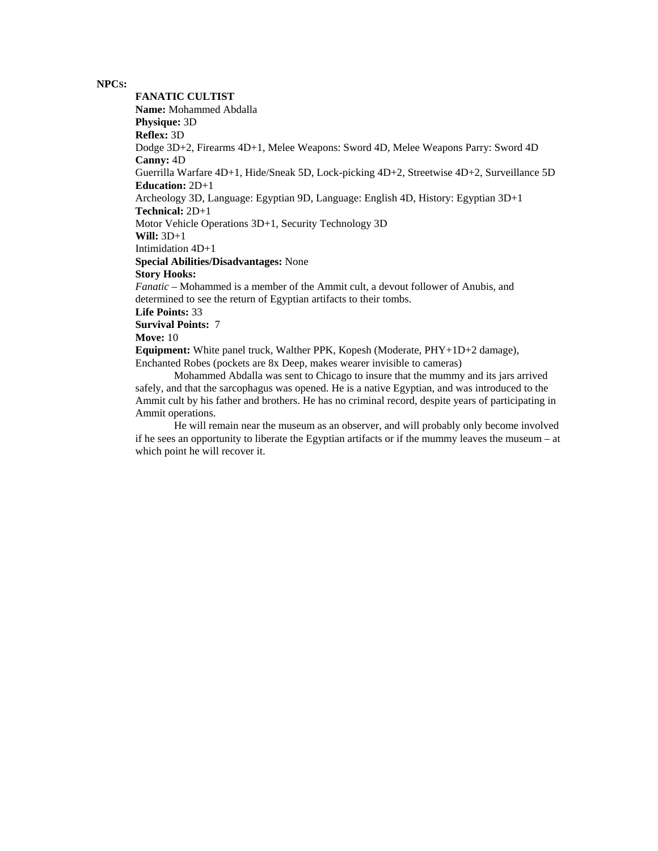### **NPCS:**

**FANATIC CULTIST Name:** Mohammed Abdalla **Physique:** 3D **Reflex:** 3D Dodge 3D+2, Firearms 4D+1, Melee Weapons: Sword 4D, Melee Weapons Parry: Sword 4D **Canny:** 4D Guerrilla Warfare 4D+1, Hide/Sneak 5D, Lock-picking 4D+2, Streetwise 4D+2, Surveillance 5D **Education:** 2D+1 Archeology 3D, Language: Egyptian 9D, Language: English 4D, History: Egyptian 3D+1 **Technical:** 2D+1 Motor Vehicle Operations 3D+1, Security Technology 3D **Will:** 3D+1 Intimidation 4D+1 **Special Abilities/Disadvantages:** None **Story Hooks:** *Fanatic* – Mohammed is a member of the Ammit cult, a devout follower of Anubis, and determined to see the return of Egyptian artifacts to their tombs. **Life Points:** 33 **Survival Points:** 7 **Move:** 10 **Equipment:** White panel truck, Walther PPK, Kopesh (Moderate, PHY+1D+2 damage), Enchanted Robes (pockets are 8x Deep, makes wearer invisible to cameras)

Mohammed Abdalla was sent to Chicago to insure that the mummy and its jars arrived safely, and that the sarcophagus was opened. He is a native Egyptian, and was introduced to the Ammit cult by his father and brothers. He has no criminal record, despite years of participating in Ammit operations.

He will remain near the museum as an observer, and will probably only become involved if he sees an opportunity to liberate the Egyptian artifacts or if the mummy leaves the museum – at which point he will recover it.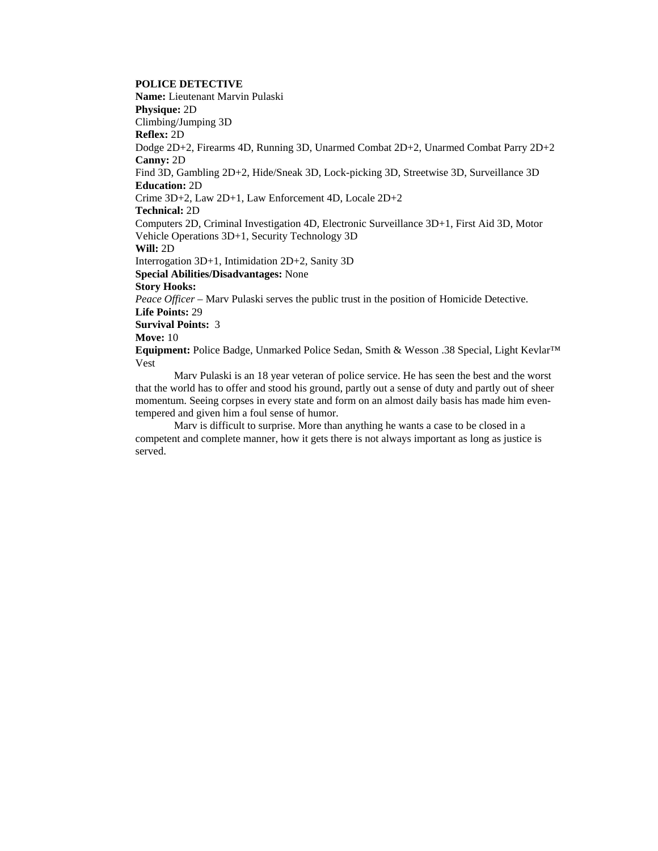# **POLICE DETECTIVE**

**Name:** Lieutenant Marvin Pulaski **Physique:** 2D Climbing/Jumping 3D **Reflex:** 2D Dodge 2D+2, Firearms 4D, Running 3D, Unarmed Combat 2D+2, Unarmed Combat Parry 2D+2 **Canny:** 2D Find 3D, Gambling 2D+2, Hide/Sneak 3D, Lock-picking 3D, Streetwise 3D, Surveillance 3D **Education:** 2D Crime 3D+2, Law 2D+1, Law Enforcement 4D, Locale 2D+2 **Technical:** 2D Computers 2D, Criminal Investigation 4D, Electronic Surveillance 3D+1, First Aid 3D, Motor Vehicle Operations 3D+1, Security Technology 3D **Will:** 2D Interrogation 3D+1, Intimidation 2D+2, Sanity 3D **Special Abilities/Disadvantages:** None **Story Hooks:** *Peace Officer* – Marv Pulaski serves the public trust in the position of Homicide Detective. **Life Points:** 29 **Survival Points:** 3 **Move:** 10 **Equipment:** Police Badge, Unmarked Police Sedan, Smith & Wesson .38 Special, Light Kevlar™ Vest

Marv Pulaski is an 18 year veteran of police service. He has seen the best and the worst that the world has to offer and stood his ground, partly out a sense of duty and partly out of sheer momentum. Seeing corpses in every state and form on an almost daily basis has made him eventempered and given him a foul sense of humor.

Marv is difficult to surprise. More than anything he wants a case to be closed in a competent and complete manner, how it gets there is not always important as long as justice is served.